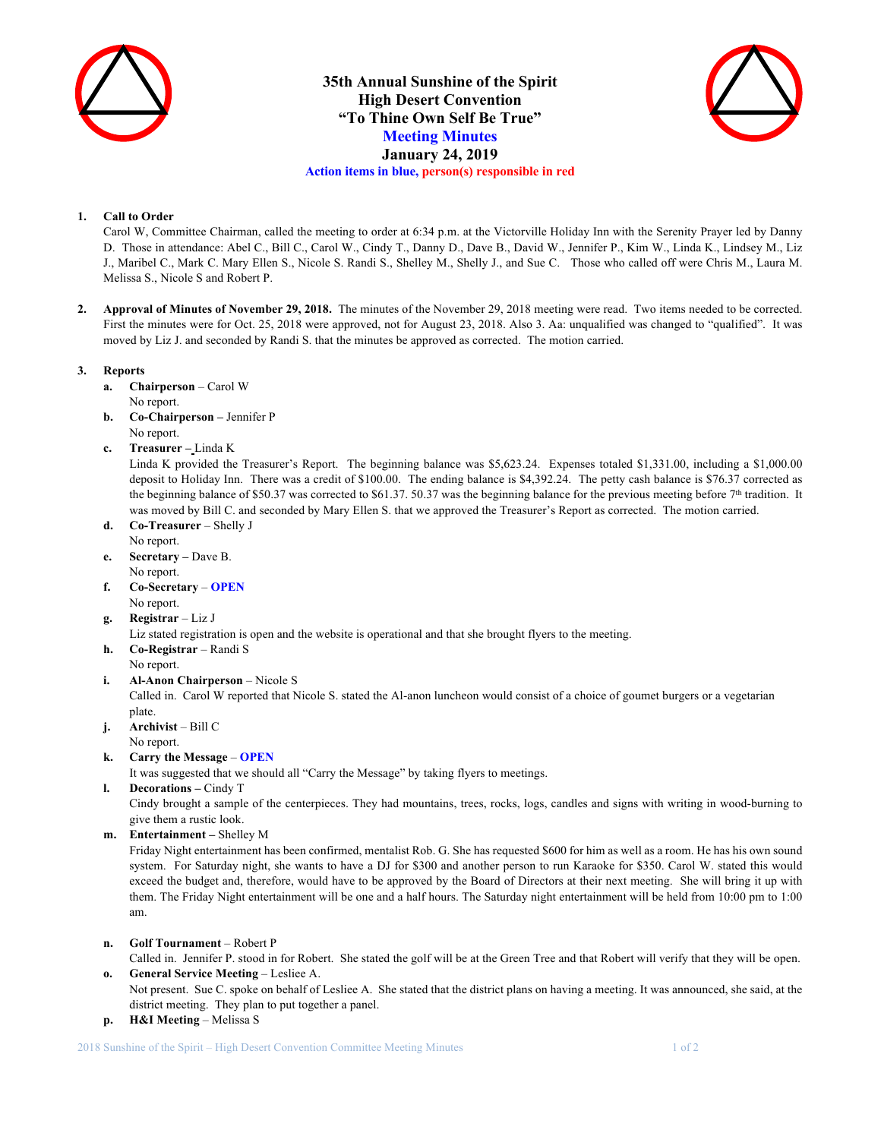

**35th Annual Sunshine of the Spirit High Desert Convention "To Thine Own Self Be True" Meeting Minutes January 24, 2019 Action items in blue, person(s) responsible in red**



### **1. Call to Order**

Carol W, Committee Chairman, called the meeting to order at 6:34 p.m. at the Victorville Holiday Inn with the Serenity Prayer led by Danny D. Those in attendance: Abel C., Bill C., Carol W., Cindy T., Danny D., Dave B., David W., Jennifer P., Kim W., Linda K., Lindsey M., Liz J., Maribel C., Mark C. Mary Ellen S., Nicole S. Randi S., Shelley M., Shelly J., and Sue C. Those who called off were Chris M., Laura M. Melissa S., Nicole S and Robert P.

**2. Approval of Minutes of November 29, 2018.** The minutes of the November 29, 2018 meeting were read. Two items needed to be corrected. First the minutes were for Oct. 25, 2018 were approved, not for August 23, 2018. Also 3. Aa: unqualified was changed to "qualified". It was moved by Liz J. and seconded by Randi S. that the minutes be approved as corrected. The motion carried.

### **3. Reports**

- **a. Chairperson** Carol W No report.
- **b. Co-Chairperson –** Jennifer P No report.
- **c. Treasurer –** Linda K

Linda K provided the Treasurer's Report. The beginning balance was \$5,623.24. Expenses totaled \$1,331.00, including a \$1,000.00 deposit to Holiday Inn. There was a credit of \$100.00. The ending balance is \$4,392.24. The petty cash balance is \$76.37 corrected as the beginning balance of \$50.37 was corrected to \$61.37. 50.37 was the beginning balance for the previous meeting before 7<sup>th</sup> tradition. It was moved by Bill C. and seconded by Mary Ellen S. that we approved the Treasurer's Report as corrected. The motion carried.

- **d. Co-Treasurer**  Shelly J No report.
- **e. Secretary –** Dave B. No report.
- **f. Co-Secretary OPEN** No report.
- **g. Registrar** Liz J

Liz stated registration is open and the website is operational and that she brought flyers to the meeting.

- **h. Co-Registrar**  Randi S
- No report.
- **i. Al-Anon Chairperson** Nicole S Called in. Carol W reported that Nicole S. stated the Al-anon luncheon would consist of a choice of goumet burgers or a vegetarian plate.
- **j. Archivist** Bill C No report.
- **k. Carry the Message OPEN**

It was suggested that we should all "Carry the Message" by taking flyers to meetings.

**l. Decorations –** Cindy T

Cindy brought a sample of the centerpieces. They had mountains, trees, rocks, logs, candles and signs with writing in wood-burning to give them a rustic look.

**m. Entertainment –** Shelley M

Friday Night entertainment has been confirmed, mentalist Rob. G. She has requested \$600 for him as well as a room. He has his own sound system. For Saturday night, she wants to have a DJ for \$300 and another person to run Karaoke for \$350. Carol W. stated this would exceed the budget and, therefore, would have to be approved by the Board of Directors at their next meeting. She will bring it up with them. The Friday Night entertainment will be one and a half hours. The Saturday night entertainment will be held from 10:00 pm to 1:00 am.

**n. Golf Tournament** – Robert P

Called in. Jennifer P. stood in for Robert. She stated the golf will be at the Green Tree and that Robert will verify that they will be open. **o. General Service Meeting** – Lesliee A.

- Not present. Sue C. spoke on behalf of Lesliee A. She stated that the district plans on having a meeting. It was announced, she said, at the district meeting. They plan to put together a panel.
- **p. H&I Meeting**  Melissa S